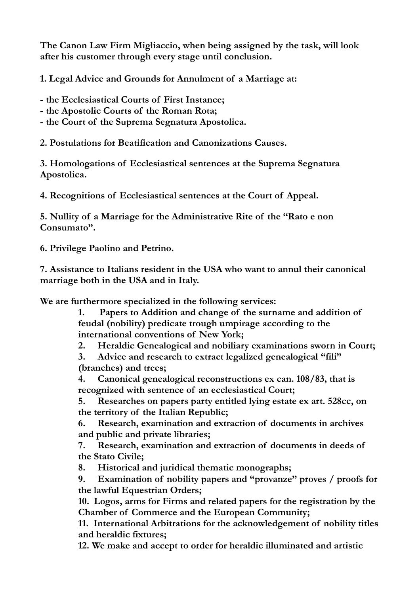**The Canon Law Firm Migliaccio, when being assigned by the task, will look after his customer through every stage until conclusion.**

**1. Legal Advice and Grounds for Annulment of a Marriage at:**

**- the Ecclesiastical Courts of First Instance;**

**- the Apostolic Courts of the Roman Rota;**

**- the Court of the Suprema Segnatura Apostolica.**

**2. Postulations for Beatification and Canonizations Causes.**

**3. Homologations of Ecclesiastical sentences at the Suprema Segnatura Apostolica.**

**4. Recognitions of Ecclesiastical sentences at the Court of Appeal.**

**5. Nullity of a Marriage for the Administrative Rite of the "Rato e non Consumato".**

**6. Privilege Paolino and Petrino.**

**7. Assistance to Italians resident in the USA who want to annul their canonical marriage both in the USA and in Italy.**

**We are furthermore specialized in the following services:**

**1. Papers to Addition and change of the surname and addition of feudal (nobility) predicate trough umpirage according to the international conventions of New York;**

**2. Heraldic Genealogical and nobiliary examinations sworn in Court;**

**3. Advice and research to extract legalized genealogical "fili" (branches) and trees;**

**4. Canonical genealogical reconstructions ex can. 108/83, that is recognized with sentence of an ecclesiastical Court;**

**5. Researches on papers party entitled lying estate ex art. 528cc, on the territory of the Italian Republic;**

**6. Research, examination and extraction of documents in archives and public and private libraries;**

**7. Research, examination and extraction of documents in deeds of the Stato Civile;**

**8. Historical and juridical thematic monographs;**

**9. Examination of nobility papers and "provanze" proves / proofs for the lawful Equestrian Orders;**

**10. Logos, arms for Firms and related papers for the registration by the Chamber of Commerce and the European Community;**

**11. International Arbitrations for the acknowledgement of nobility titles and heraldic fixtures;**

**12. We make and accept to order for heraldic illuminated and artistic**